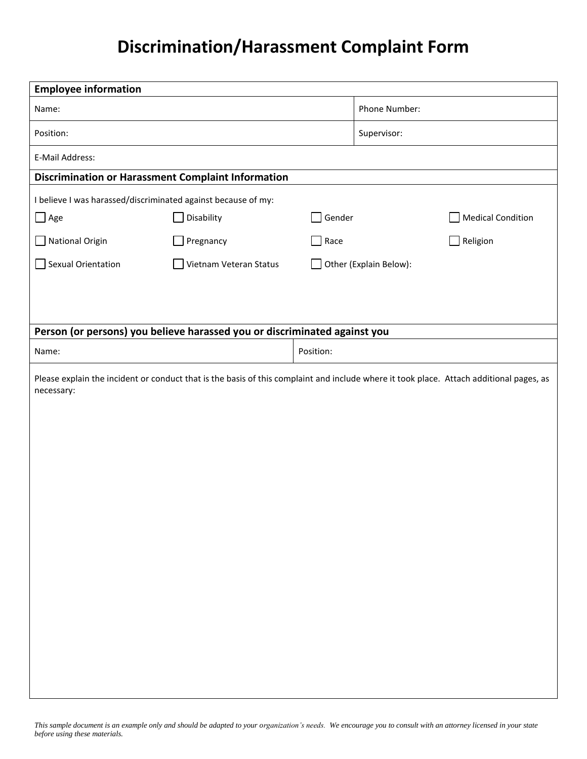## **Discrimination/Harassment Complaint Form**

| <b>Employee information</b>                                                                                                             |                        |           |                        |                          |  |
|-----------------------------------------------------------------------------------------------------------------------------------------|------------------------|-----------|------------------------|--------------------------|--|
| Name:                                                                                                                                   |                        |           | Phone Number:          |                          |  |
| Position:                                                                                                                               |                        |           | Supervisor:            |                          |  |
| E-Mail Address:                                                                                                                         |                        |           |                        |                          |  |
| <b>Discrimination or Harassment Complaint Information</b>                                                                               |                        |           |                        |                          |  |
| I believe I was harassed/discriminated against because of my:                                                                           |                        |           |                        |                          |  |
| $\Box$ Age                                                                                                                              | Disability             | Gender    |                        | <b>Medical Condition</b> |  |
| National Origin                                                                                                                         | Pregnancy              | Race      |                        | Religion                 |  |
| Sexual Orientation                                                                                                                      | Vietnam Veteran Status |           | Other (Explain Below): |                          |  |
|                                                                                                                                         |                        |           |                        |                          |  |
|                                                                                                                                         |                        |           |                        |                          |  |
| Person (or persons) you believe harassed you or discriminated against you                                                               |                        |           |                        |                          |  |
| Name:                                                                                                                                   |                        | Position: |                        |                          |  |
| Please explain the incident or conduct that is the basis of this complaint and include where it took place. Attach additional pages, as |                        |           |                        |                          |  |
| necessary:                                                                                                                              |                        |           |                        |                          |  |
|                                                                                                                                         |                        |           |                        |                          |  |
|                                                                                                                                         |                        |           |                        |                          |  |
|                                                                                                                                         |                        |           |                        |                          |  |
|                                                                                                                                         |                        |           |                        |                          |  |
|                                                                                                                                         |                        |           |                        |                          |  |
|                                                                                                                                         |                        |           |                        |                          |  |
|                                                                                                                                         |                        |           |                        |                          |  |
|                                                                                                                                         |                        |           |                        |                          |  |
|                                                                                                                                         |                        |           |                        |                          |  |
|                                                                                                                                         |                        |           |                        |                          |  |
|                                                                                                                                         |                        |           |                        |                          |  |
|                                                                                                                                         |                        |           |                        |                          |  |
|                                                                                                                                         |                        |           |                        |                          |  |
|                                                                                                                                         |                        |           |                        |                          |  |
|                                                                                                                                         |                        |           |                        |                          |  |